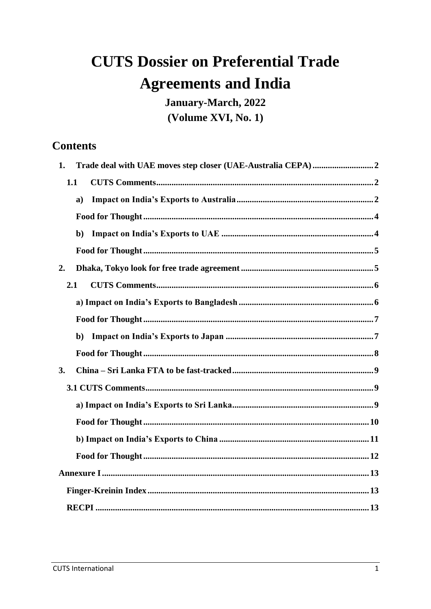# **CUTS Dossier on Preferential Trade Agreements and India**

January-March, 2022 (Volume XVI, No. 1)

# **Contents**

| 1. |              |  |
|----|--------------|--|
|    | 1.1          |  |
|    | $\mathbf{a}$ |  |
|    |              |  |
|    | $\mathbf{b}$ |  |
|    |              |  |
| 2. |              |  |
|    | 2.1          |  |
|    |              |  |
|    |              |  |
|    | $\mathbf{b}$ |  |
|    |              |  |
| 3. |              |  |
|    |              |  |
|    |              |  |
|    |              |  |
|    |              |  |
|    |              |  |
|    |              |  |
|    |              |  |
|    |              |  |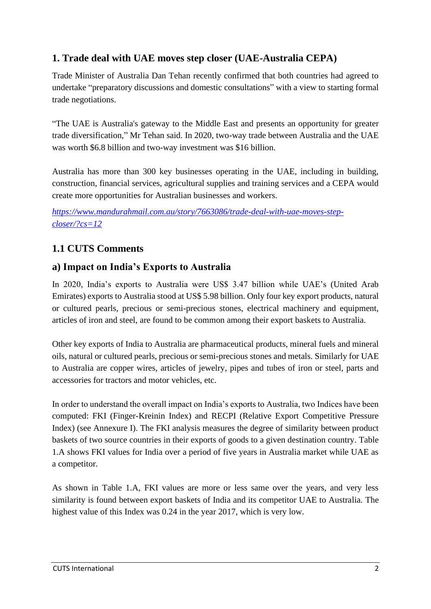## <span id="page-1-0"></span>**1. Trade deal with UAE moves step closer (UAE-Australia CEPA)**

Trade Minister of Australia Dan Tehan recently confirmed that both countries had agreed to undertake "preparatory discussions and domestic consultations" with a view to starting formal trade negotiations.

"The UAE is Australia's gateway to the Middle East and presents an opportunity for greater trade diversification," Mr Tehan said. In 2020, two-way trade between Australia and the UAE was worth \$6.8 billion and two-way investment was \$16 billion.

Australia has more than 300 key businesses operating in the UAE, including in building, construction, financial services, agricultural supplies and training services and a CEPA would create more opportunities for Australian businesses and workers.

*[https://www.mandurahmail.com.au/story/7663086/trade-deal-with-uae-moves-step](https://www.mandurahmail.com.au/story/7663086/trade-deal-with-uae-moves-step-closer/?cs=12)[closer/?cs=12](https://www.mandurahmail.com.au/story/7663086/trade-deal-with-uae-moves-step-closer/?cs=12)*

# <span id="page-1-1"></span>**1.1 CUTS Comments**

### <span id="page-1-2"></span>**a) Impact on India's Exports to Australia**

In 2020, India's exports to Australia were US\$ 3.47 billion while UAE's (United Arab Emirates) exports to Australia stood at US\$ 5.98 billion. Only four key export products, natural or cultured pearls, precious or semi-precious stones, electrical machinery and equipment, articles of iron and steel, are found to be common among their export baskets to Australia.

Other key exports of India to Australia are pharmaceutical products, mineral fuels and mineral oils, natural or cultured pearls, precious or semi-precious stones and metals. Similarly for UAE to Australia are copper wires, articles of jewelry, pipes and tubes of iron or steel, parts and accessories for tractors and motor vehicles, etc.

In order to understand the overall impact on India's exports to Australia, two Indices have been computed: FKI (Finger-Kreinin Index) and RECPI (Relative Export Competitive Pressure Index) (see Annexure I). The FKI analysis measures the degree of similarity between product baskets of two source countries in their exports of goods to a given destination country. Table 1.A shows FKI values for India over a period of five years in Australia market while UAE as a competitor.

As shown in Table 1.A, FKI values are more or less same over the years, and very less similarity is found between export baskets of India and its competitor UAE to Australia. The highest value of this Index was 0.24 in the year 2017, which is very low.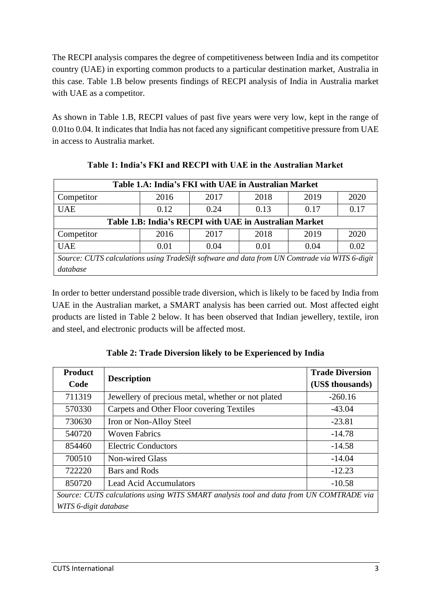The RECPI analysis compares the degree of competitiveness between India and its competitor country (UAE) in exporting common products to a particular destination market, Australia in this case. Table 1.B below presents findings of RECPI analysis of India in Australia market with UAE as a competitor.

As shown in Table 1.B, RECPI values of past five years were very low, kept in the range of 0.01to 0.04. It indicates that India has not faced any significant competitive pressure from UAE in access to Australia market.

| Table 1.A: India's FKI with UAE in Australian Market                                          |      |      |      |      |      |
|-----------------------------------------------------------------------------------------------|------|------|------|------|------|
| Competitor                                                                                    | 2016 | 2017 | 2018 | 2019 | 2020 |
| <b>UAE</b>                                                                                    | 0.12 | 0.24 | 0.13 | 0.17 | 0.17 |
| Table 1.B: India's RECPI with UAE in Australian Market                                        |      |      |      |      |      |
| Competitor                                                                                    | 2016 | 2017 | 2018 | 2019 | 2020 |
| <b>UAE</b><br>0.02<br>0.01<br>0.01<br>0.04<br>0.04                                            |      |      |      |      |      |
| Source: CUTS calculations using TradeSift software and data from UN Comtrade via WITS 6-digit |      |      |      |      |      |
| database                                                                                      |      |      |      |      |      |

**Table 1: India's FKI and RECPI with UAE in the Australian Market**

In order to better understand possible trade diversion, which is likely to be faced by India from UAE in the Australian market, a SMART analysis has been carried out. Most affected eight products are listed in Table 2 below. It has been observed that Indian jewellery, textile, iron and steel, and electronic products will be affected most.

<span id="page-2-0"></span>

| <b>Product</b>                                                                         |                                                    | <b>Trade Diversion</b> |  |  |
|----------------------------------------------------------------------------------------|----------------------------------------------------|------------------------|--|--|
| Code                                                                                   | <b>Description</b>                                 | (US\$ thousands)       |  |  |
| 711319                                                                                 | Jewellery of precious metal, whether or not plated | $-260.16$              |  |  |
| 570330                                                                                 | Carpets and Other Floor covering Textiles          | $-43.04$               |  |  |
| 730630                                                                                 | Iron or Non-Alloy Steel                            | $-23.81$               |  |  |
| 540720                                                                                 | <b>Woven Fabrics</b>                               | $-14.78$               |  |  |
| 854460                                                                                 | <b>Electric Conductors</b>                         | $-14.58$               |  |  |
| 700510                                                                                 | Non-wired Glass                                    | $-14.04$               |  |  |
| 722220                                                                                 | Bars and Rods                                      | $-12.23$               |  |  |
| 850720                                                                                 | <b>Lead Acid Accumulators</b>                      | $-10.58$               |  |  |
| Source: CUTS calculations using WITS SMART analysis tool and data from UN COMTRADE via |                                                    |                        |  |  |
| WITS 6-digit database                                                                  |                                                    |                        |  |  |

**Table 2: Trade Diversion likely to be Experienced by India**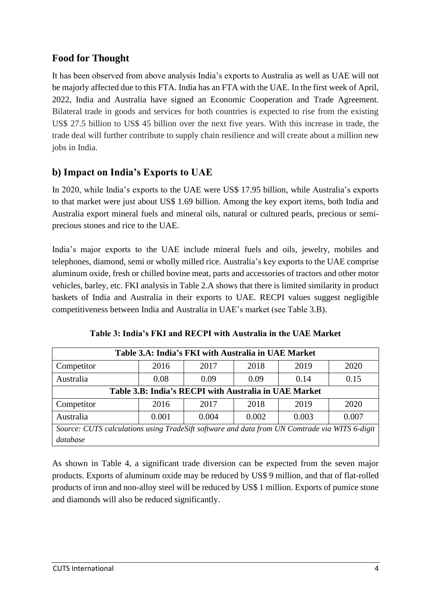It has been observed from above analysis India's exports to Australia as well as UAE will not be majorly affected due to this FTA. India has an FTA with the UAE. In the first week of April, 2022, India and Australia have signed an Economic Cooperation and Trade Agreement. Bilateral trade in goods and services for both countries is expected to rise from the existing US\$ 27.5 billion to US\$ 45 billion over the next five years. With this increase in trade, the trade deal will further contribute to supply chain resilience and will create about a million new jobs in India.

## <span id="page-3-0"></span>**b) Impact on India's Exports to UAE**

In 2020, while India's exports to the UAE were US\$ 17.95 billion, while Australia's exports to that market were just about US\$ 1.69 billion. Among the key export items, both India and Australia export mineral fuels and mineral oils, natural or cultured pearls, precious or semiprecious stones and rice to the UAE.

India's major exports to the UAE include mineral fuels and oils, jewelry, mobiles and telephones, diamond, semi or wholly milled rice. Australia's key exports to the UAE comprise aluminum oxide, fresh or chilled bovine meat, parts and accessories of tractors and other motor vehicles, barley, etc. FKI analysis in Table 2.A shows that there is limited similarity in product baskets of India and Australia in their exports to UAE. RECPI values suggest negligible competitiveness between India and Australia in UAE's market (see Table 3.B).

| Table 3.A: India's FKI with Australia in UAE Market                                           |      |      |      |      |      |
|-----------------------------------------------------------------------------------------------|------|------|------|------|------|
| Competitor                                                                                    | 2016 | 2017 | 2018 | 2019 | 2020 |
| Australia                                                                                     | 0.08 | 0.09 | 0.09 | 0.14 | 0.15 |
| Table 3.B: India's RECPI with Australia in UAE Market                                         |      |      |      |      |      |
| Competitor                                                                                    | 2016 | 2017 | 2018 | 2019 | 2020 |
| Australia<br>0.001<br>0.004<br>0.002<br>0.003<br>0.007                                        |      |      |      |      |      |
| Source: CUTS calculations using TradeSift software and data from UN Comtrade via WITS 6-digit |      |      |      |      |      |
| database                                                                                      |      |      |      |      |      |

As shown in Table 4, a significant trade diversion can be expected from the seven major products. Exports of aluminum oxide may be reduced by US\$ 9 million, and that of flat-rolled products of iron and non-alloy steel will be reduced by US\$ 1 million. Exports of pumice stone and diamonds will also be reduced significantly.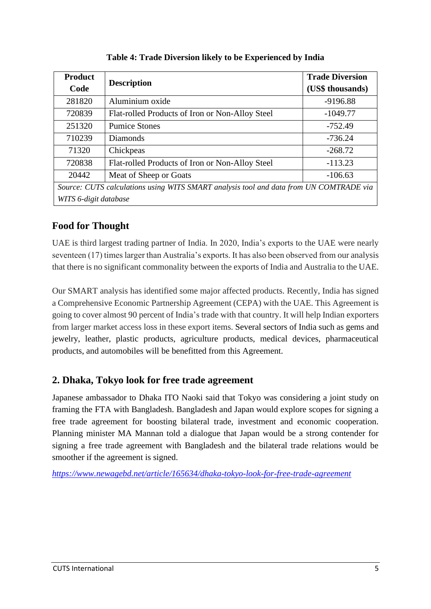| <b>Product</b><br>Code                                                                 | <b>Description</b>                              | <b>Trade Diversion</b><br>(US\$ thousands) |  |  |
|----------------------------------------------------------------------------------------|-------------------------------------------------|--------------------------------------------|--|--|
| 281820                                                                                 | Aluminium oxide                                 | $-9196.88$                                 |  |  |
| 720839                                                                                 | Flat-rolled Products of Iron or Non-Alloy Steel | $-1049.77$                                 |  |  |
| 251320                                                                                 | <b>Pumice Stones</b>                            | -752.49                                    |  |  |
| 710239                                                                                 | <b>Diamonds</b>                                 | $-736.24$                                  |  |  |
| 71320                                                                                  | Chickpeas                                       | $-268.72$                                  |  |  |
| 720838                                                                                 | Flat-rolled Products of Iron or Non-Alloy Steel | $-113.23$                                  |  |  |
| 20442                                                                                  | $-106.63$                                       |                                            |  |  |
| Source: CUTS calculations using WITS SMART analysis tool and data from UN COMTRADE via |                                                 |                                            |  |  |
| WITS 6-digit database                                                                  |                                                 |                                            |  |  |

**Table 4: Trade Diversion likely to be Experienced by India**

<span id="page-4-0"></span>UAE is third largest trading partner of India. In 2020, India's exports to the UAE were nearly seventeen (17) times larger than Australia's exports. It has also been observed from our analysis that there is no significant commonality between the exports of India and Australia to the UAE.

Our SMART analysis has identified some major affected products. Recently, India has signed a Comprehensive Economic Partnership Agreement (CEPA) with the UAE. This Agreement is going to cover almost 90 percent of India's trade with that country. It will help Indian exporters from larger market access loss in these export items. Several sectors of India such as gems and jewelry, leather, plastic products, agriculture products, medical devices, pharmaceutical products, and automobiles will be benefitted from this Agreement.

## <span id="page-4-1"></span>**2. Dhaka, Tokyo look for free trade agreement**

Japanese ambassador to Dhaka ITO Naoki said that Tokyo was considering a joint study on framing the FTA with Bangladesh. Bangladesh and Japan would explore scopes for signing a free trade agreement for boosting bilateral trade, investment and economic cooperation. Planning minister MA Mannan told a dialogue that Japan would be a strong contender for signing a free trade agreement with Bangladesh and the bilateral trade relations would be smoother if the agreement is signed.

*<https://www.newagebd.net/article/165634/dhaka-tokyo-look-for-free-trade-agreement>*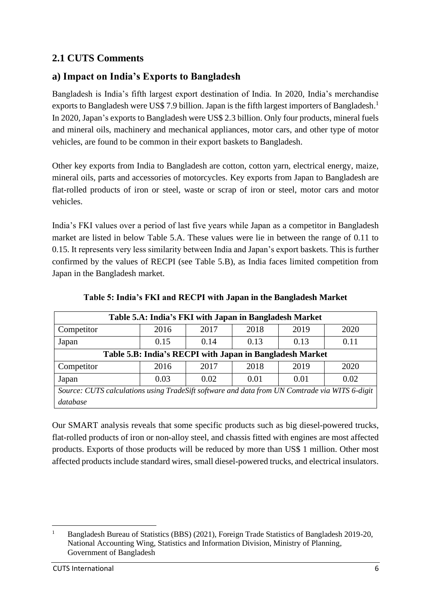## <span id="page-5-0"></span>**2.1 CUTS Comments**

## <span id="page-5-1"></span>**a) Impact on India's Exports to Bangladesh**

Bangladesh is India's fifth largest export destination of India. In 2020, India's merchandise exports to Bangladesh were US\$ 7.9 billion. Japan is the fifth largest importers of Bangladesh.<sup>1</sup> In 2020, Japan's exports to Bangladesh were US\$ 2.3 billion. Only four products, mineral fuels and mineral oils, machinery and mechanical appliances, motor cars, and other type of motor vehicles, are found to be common in their export baskets to Bangladesh.

Other key exports from India to Bangladesh are cotton, cotton yarn, electrical energy, maize, mineral oils, parts and accessories of motorcycles. Key exports from Japan to Bangladesh are flat-rolled products of iron or steel, waste or scrap of iron or steel, motor cars and motor vehicles.

India's FKI values over a period of last five years while Japan as a competitor in Bangladesh market are listed in below Table 5.A. These values were lie in between the range of 0.11 to 0.15. It represents very less similarity between India and Japan's export baskets. This is further confirmed by the values of RECPI (see Table 5.B), as India faces limited competition from Japan in the Bangladesh market.

| Table 5.A: India's FKI with Japan in Bangladesh Market                                        |      |      |      |      |      |
|-----------------------------------------------------------------------------------------------|------|------|------|------|------|
| Competitor                                                                                    | 2016 | 2017 | 2018 | 2019 | 2020 |
| Japan                                                                                         | 0.15 | 0.14 | 0.13 | 0.13 | 0.11 |
| Table 5.B: India's RECPI with Japan in Bangladesh Market                                      |      |      |      |      |      |
| Competitor                                                                                    | 2016 | 2017 | 2018 | 2019 | 2020 |
| 0.02<br>0.02<br>0.03<br>0.01<br>Japan<br>0.01                                                 |      |      |      |      |      |
| Source: CUTS calculations using TradeSift software and data from UN Comtrade via WITS 6-digit |      |      |      |      |      |
| database                                                                                      |      |      |      |      |      |

**Table 5: India's FKI and RECPI with Japan in the Bangladesh Market**

Our SMART analysis reveals that some specific products such as big diesel-powered trucks, flat-rolled products of iron or non-alloy steel, and chassis fitted with engines are most affected products. Exports of those products will be reduced by more than US\$ 1 million. Other most affected products include standard wires, small diesel-powered trucks, and electrical insulators.

<sup>1</sup> Bangladesh Bureau of Statistics (BBS) (2021), Foreign Trade Statistics of Bangladesh 2019-20, National Accounting Wing, Statistics and Information Division, Ministry of Planning, Government of Bangladesh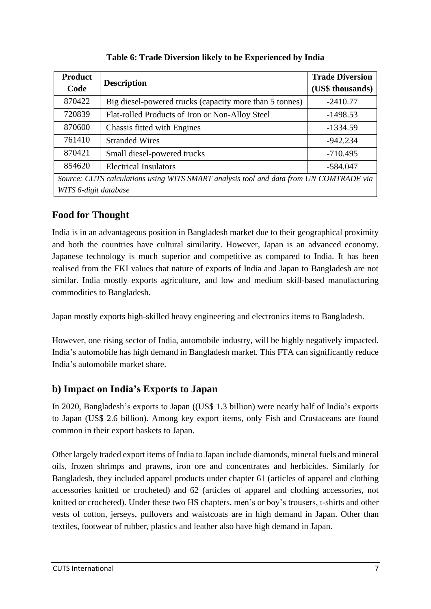| <b>Product</b>                                                                         |                                                         | <b>Trade Diversion</b> |  |  |  |
|----------------------------------------------------------------------------------------|---------------------------------------------------------|------------------------|--|--|--|
| Code                                                                                   | <b>Description</b>                                      | (US\$ thousands)       |  |  |  |
| 870422                                                                                 | Big diesel-powered trucks (capacity more than 5 tonnes) | $-2410.77$             |  |  |  |
| 720839                                                                                 | Flat-rolled Products of Iron or Non-Alloy Steel         | $-1498.53$             |  |  |  |
| 870600                                                                                 | Chassis fitted with Engines                             | $-1334.59$             |  |  |  |
| 761410                                                                                 | <b>Stranded Wires</b>                                   | $-942.234$             |  |  |  |
| 870421                                                                                 | Small diesel-powered trucks                             | $-710.495$             |  |  |  |
| 854620                                                                                 | <b>Electrical Insulators</b>                            | -584.047               |  |  |  |
| Source: CUTS calculations using WITS SMART analysis tool and data from UN COMTRADE via |                                                         |                        |  |  |  |
| WITS 6-digit database                                                                  |                                                         |                        |  |  |  |

**Table 6: Trade Diversion likely to be Experienced by India**

<span id="page-6-0"></span>India is in an advantageous position in Bangladesh market due to their geographical proximity and both the countries have cultural similarity. However, Japan is an advanced economy. Japanese technology is much superior and competitive as compared to India. It has been realised from the FKI values that nature of exports of India and Japan to Bangladesh are not similar. India mostly exports agriculture, and low and medium skill-based manufacturing commodities to Bangladesh.

Japan mostly exports high-skilled heavy engineering and electronics items to Bangladesh.

However, one rising sector of India, automobile industry, will be highly negatively impacted. India's automobile has high demand in Bangladesh market. This FTA can significantly reduce India's automobile market share.

## <span id="page-6-1"></span>**b) Impact on India's Exports to Japan**

In 2020, Bangladesh's exports to Japan ((US\$ 1.3 billion) were nearly half of India's exports to Japan (US\$ 2.6 billion). Among key export items, only Fish and Crustaceans are found common in their export baskets to Japan.

Other largely traded export items of India to Japan include diamonds, mineral fuels and mineral oils, frozen shrimps and prawns, iron ore and concentrates and herbicides. Similarly for Bangladesh, they included apparel products under chapter 61 (articles of apparel and clothing accessories knitted or crocheted) and 62 (articles of apparel and clothing accessories, not knitted or crocheted). Under these two HS chapters, men's or boy's trousers, t-shirts and other vests of cotton, jerseys, pullovers and waistcoats are in high demand in Japan. Other than textiles, footwear of rubber, plastics and leather also have high demand in Japan.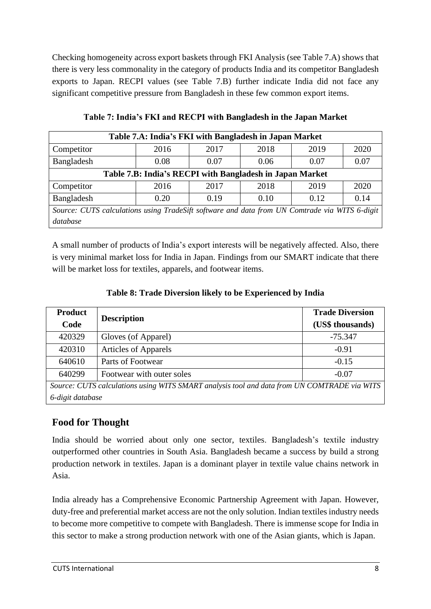Checking homogeneity across export baskets through FKI Analysis (see Table 7.A) shows that there is very less commonality in the category of products India and its competitor Bangladesh exports to Japan. RECPI values (see Table 7.B) further indicate India did not face any significant competitive pressure from Bangladesh in these few common export items.

| Table 7.A: India's FKI with Bangladesh in Japan Market                                        |      |      |      |      |      |
|-----------------------------------------------------------------------------------------------|------|------|------|------|------|
| Competitor                                                                                    | 2016 | 2017 | 2018 | 2019 | 2020 |
| Bangladesh                                                                                    | 0.08 | 0.07 | 0.06 | 0.07 | 0.07 |
| Table 7.B: India's RECPI with Bangladesh in Japan Market                                      |      |      |      |      |      |
| Competitor                                                                                    | 2016 | 2017 | 2018 | 2019 | 2020 |
| Bangladesh<br>0.20<br>0.12<br>0.19<br>0.10                                                    |      |      |      | 0.14 |      |
| Source: CUTS calculations using TradeSift software and data from UN Comtrade via WITS 6-digit |      |      |      |      |      |
| database                                                                                      |      |      |      |      |      |

**Table 7: India's FKI and RECPI with Bangladesh in the Japan Market**

A small number of products of India's export interests will be negatively affected. Also, there is very minimal market loss for India in Japan. Findings from our SMART indicate that there will be market loss for textiles, apparels, and footwear items.

#### **Table 8: Trade Diversion likely to be Experienced by India**

| <b>Product</b><br>Code                                                                      | <b>Description</b>          | <b>Trade Diversion</b><br>(US\$ thousands) |  |  |  |
|---------------------------------------------------------------------------------------------|-----------------------------|--------------------------------------------|--|--|--|
| 420329                                                                                      | Gloves (of Apparel)         | $-75.347$                                  |  |  |  |
| 420310                                                                                      | <b>Articles of Apparels</b> | $-0.91$                                    |  |  |  |
| 640610                                                                                      | Parts of Footwear           | $-0.15$                                    |  |  |  |
| 640299                                                                                      | Footwear with outer soles   | $-0.07$                                    |  |  |  |
| Source: CUTS calculations using WITS SMART analysis tool and data from UN COMTRADE via WITS |                             |                                            |  |  |  |
| 6-digit database                                                                            |                             |                                            |  |  |  |

## <span id="page-7-0"></span>**Food for Thought**

India should be worried about only one sector, textiles. Bangladesh's textile industry outperformed other countries in South Asia. Bangladesh became a success by build a strong production network in textiles. Japan is a dominant player in textile value chains network in Asia.

India already has a Comprehensive Economic Partnership Agreement with Japan. However, duty-free and preferential market access are not the only solution. Indian textiles industry needs to become more competitive to compete with Bangladesh. There is immense scope for India in this sector to make a strong production network with one of the Asian giants, which is Japan.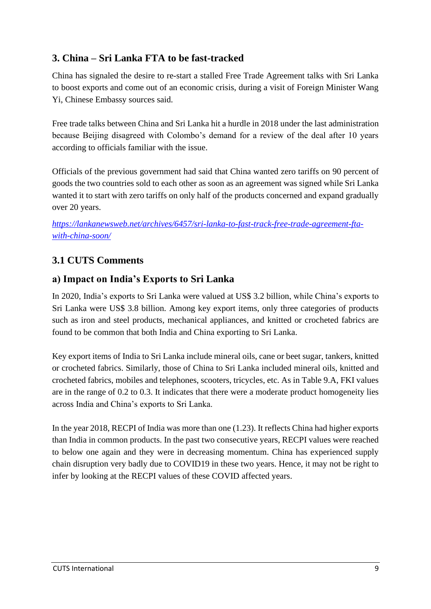## <span id="page-8-0"></span>**3. China – Sri Lanka FTA to be fast-tracked**

China has signaled the desire to re-start a stalled Free Trade Agreement talks with Sri Lanka to boost exports and come out of an economic crisis, during a visit of Foreign Minister Wang Yi, Chinese Embassy sources said.

Free trade talks between China and Sri Lanka hit a hurdle in 2018 under the last administration because Beijing disagreed with Colombo's demand for a review of the deal after 10 years according to officials familiar with the issue.

Officials of the previous government had said that China wanted zero tariffs on 90 percent of goods the two countries sold to each other as soon as an agreement was signed while Sri Lanka wanted it to start with zero tariffs on only half of the products concerned and expand gradually over 20 years.

*[https://lankanewsweb.net/archives/6457/sri-lanka-to-fast-track-free-trade-agreement-fta](https://lankanewsweb.net/archives/6457/sri-lanka-to-fast-track-free-trade-agreement-fta-with-china-soon/)[with-china-soon/](https://lankanewsweb.net/archives/6457/sri-lanka-to-fast-track-free-trade-agreement-fta-with-china-soon/)*

# <span id="page-8-1"></span>**3.1 CUTS Comments**

## <span id="page-8-2"></span>**a) Impact on India's Exports to Sri Lanka**

In 2020, India's exports to Sri Lanka were valued at US\$ 3.2 billion, while China's exports to Sri Lanka were US\$ 3.8 billion. Among key export items, only three categories of products such as iron and steel products, mechanical appliances, and knitted or crocheted fabrics are found to be common that both India and China exporting to Sri Lanka.

Key export items of India to Sri Lanka include mineral oils, cane or beet sugar, tankers, knitted or crocheted fabrics. Similarly, those of China to Sri Lanka included mineral oils, knitted and crocheted fabrics, mobiles and telephones, scooters, tricycles, etc. As in Table 9.A, FKI values are in the range of 0.2 to 0.3. It indicates that there were a moderate product homogeneity lies across India and China's exports to Sri Lanka.

In the year 2018, RECPI of India was more than one (1.23). It reflects China had higher exports than India in common products. In the past two consecutive years, RECPI values were reached to below one again and they were in decreasing momentum. China has experienced supply chain disruption very badly due to COVID19 in these two years. Hence, it may not be right to infer by looking at the RECPI values of these COVID affected years.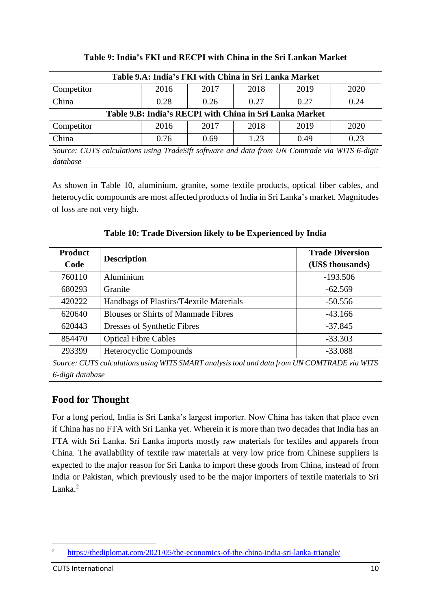| Table 9.A: India's FKI with China in Sri Lanka Market                                         |      |      |      |      |      |
|-----------------------------------------------------------------------------------------------|------|------|------|------|------|
| Competitor                                                                                    | 2016 | 2017 | 2018 | 2019 | 2020 |
| China                                                                                         | 0.28 | 0.26 | 0.27 | 0.27 | 0.24 |
| Table 9.B: India's RECPI with China in Sri Lanka Market                                       |      |      |      |      |      |
| Competitor                                                                                    | 2016 | 2017 | 2018 | 2019 | 2020 |
| China                                                                                         | 0.76 | 0.69 | 1.23 | 0.49 | 0.23 |
| Source: CUTS calculations using TradeSift software and data from UN Comtrade via WITS 6-digit |      |      |      |      |      |
| database                                                                                      |      |      |      |      |      |

#### **Table 9: India's FKI and RECPI with China in the Sri Lankan Market**

As shown in Table 10, aluminium, granite, some textile products, optical fiber cables, and heterocyclic compounds are most affected products of India in Sri Lanka's market. Magnitudes of loss are not very high.

| <b>Product</b>                                                                              | <b>Description</b>                         | <b>Trade Diversion</b> |  |  |  |
|---------------------------------------------------------------------------------------------|--------------------------------------------|------------------------|--|--|--|
| Code                                                                                        |                                            | (US\$ thousands)       |  |  |  |
| 760110                                                                                      | Aluminium                                  | $-193.506$             |  |  |  |
| 680293                                                                                      | Granite                                    | $-62.569$              |  |  |  |
| 420222                                                                                      | Handbags of Plastics/T4 extile Materials   | $-50.556$              |  |  |  |
| 620640                                                                                      | <b>Blouses or Shirts of Manmade Fibres</b> | $-43.166$              |  |  |  |
| 620443                                                                                      | Dresses of Synthetic Fibres                | $-37.845$              |  |  |  |
| 854470                                                                                      | <b>Optical Fibre Cables</b>                | $-33.303$              |  |  |  |
| 293399                                                                                      | Heterocyclic Compounds                     | $-33.088$              |  |  |  |
| Source: CUTS calculations using WITS SMART analysis tool and data from UN COMTRADE via WITS |                                            |                        |  |  |  |

**Table 10: Trade Diversion likely to be Experienced by India**

<span id="page-9-0"></span>**Food for Thought**

*6-digit database*

For a long period, India is Sri Lanka's largest importer. Now China has taken that place even if China has no FTA with Sri Lanka yet. Wherein it is more than two decades that India has an FTA with Sri Lanka. Sri Lanka imports mostly raw materials for textiles and apparels from China. The availability of textile raw materials at very low price from Chinese suppliers is expected to the major reason for Sri Lanka to import these goods from China, instead of from India or Pakistan, which previously used to be the major importers of textile materials to Sri Lanka.<sup>2</sup>

<sup>&</sup>lt;sup>2</sup> <https://thediplomat.com/2021/05/the-economics-of-the-china-india-sri-lanka-triangle/>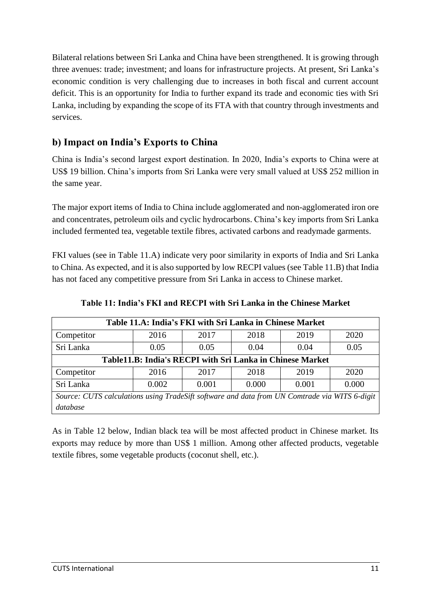Bilateral relations between Sri Lanka and China have been strengthened. It is growing through three avenues: trade; investment; and loans for infrastructure projects. At present, Sri Lanka's economic condition is very challenging due to increases in both fiscal and current account deficit. This is an opportunity for India to further expand its trade and economic ties with Sri Lanka, including by expanding the scope of its FTA with that country through investments and services.

## <span id="page-10-0"></span>**b) Impact on India's Exports to China**

China is India's second largest export destination. In 2020, India's exports to China were at US\$ 19 billion. China's imports from Sri Lanka were very small valued at US\$ 252 million in the same year.

The major export items of India to China include agglomerated and non-agglomerated iron ore and concentrates, petroleum oils and cyclic hydrocarbons. China's key imports from Sri Lanka included fermented tea, vegetable textile fibres, activated carbons and readymade garments.

FKI values (see in Table 11.A) indicate very poor similarity in exports of India and Sri Lanka to China. As expected, and it is also supported by low RECPI values (see Table 11.B) that India has not faced any competitive pressure from Sri Lanka in access to Chinese market.

| Table 11.A: India's FKI with Sri Lanka in Chinese Market                                      |       |       |       |       |       |  |
|-----------------------------------------------------------------------------------------------|-------|-------|-------|-------|-------|--|
| Competitor                                                                                    | 2016  | 2017  | 2018  | 2019  | 2020  |  |
| Sri Lanka                                                                                     | 0.05  | 0.05  | 0.04  | 0.04  | 0.05  |  |
| Table11.B: India's RECPI with Sri Lanka in Chinese Market                                     |       |       |       |       |       |  |
| Competitor                                                                                    | 2016  | 2017  | 2018  | 2019  | 2020  |  |
| Sri Lanka                                                                                     | 0.002 | 0.001 | 0.000 | 0.001 | 0.000 |  |
| Source: CUTS calculations using TradeSift software and data from UN Comtrade via WITS 6-digit |       |       |       |       |       |  |
| database                                                                                      |       |       |       |       |       |  |

**Table 11: India's FKI and RECPI with Sri Lanka in the Chinese Market**

As in Table 12 below, Indian black tea will be most affected product in Chinese market. Its exports may reduce by more than US\$ 1 million. Among other affected products, vegetable textile fibres, some vegetable products (coconut shell, etc.).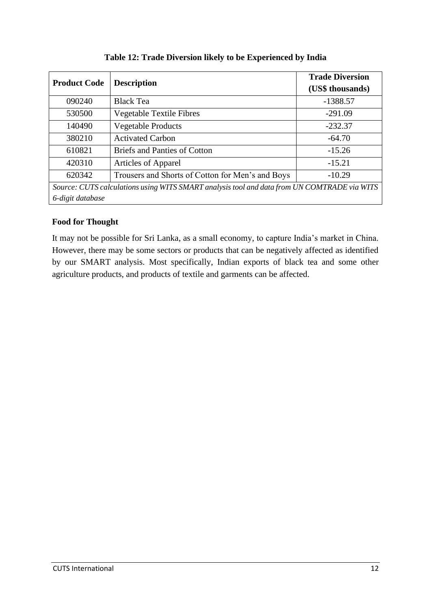| <b>Product Code</b>                                                                         |                                                  | <b>Trade Diversion</b> |  |  |  |
|---------------------------------------------------------------------------------------------|--------------------------------------------------|------------------------|--|--|--|
|                                                                                             | <b>Description</b>                               | (US\$ thousands)       |  |  |  |
| 090240                                                                                      | <b>Black Tea</b>                                 | $-1388.57$             |  |  |  |
| 530500                                                                                      | <b>Vegetable Textile Fibres</b>                  | $-291.09$              |  |  |  |
| 140490                                                                                      | <b>Vegetable Products</b>                        | $-232.37$              |  |  |  |
| 380210                                                                                      | <b>Activated Carbon</b>                          | $-64.70$               |  |  |  |
| 610821                                                                                      | <b>Briefs and Panties of Cotton</b>              | $-15.26$               |  |  |  |
| 420310                                                                                      | <b>Articles of Apparel</b>                       | $-15.21$               |  |  |  |
| 620342                                                                                      | Trousers and Shorts of Cotton for Men's and Boys | $-10.29$               |  |  |  |
| Source: CUTS calculations using WITS SMART analysis tool and data from UN COMTRADE via WITS |                                                  |                        |  |  |  |
| 6-digit database                                                                            |                                                  |                        |  |  |  |

**Table 12: Trade Diversion likely to be Experienced by India**

<span id="page-11-1"></span><span id="page-11-0"></span>It may not be possible for Sri Lanka, as a small economy, to capture India's market in China. However, there may be some sectors or products that can be negatively affected as identified by our SMART analysis. Most specifically, Indian exports of black tea and some other agriculture products, and products of textile and garments can be affected.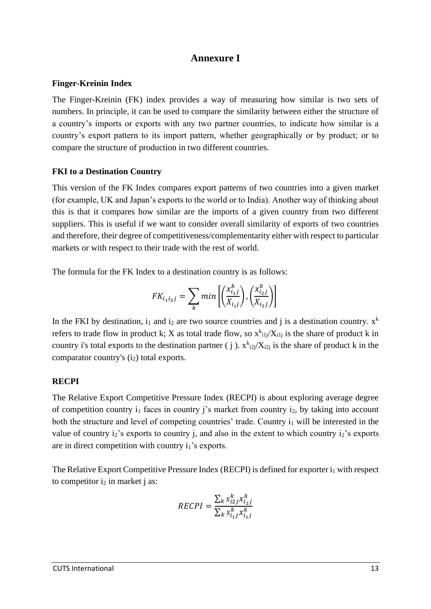#### **Annexure I**

#### <span id="page-12-0"></span>**Finger-Kreinin Index**

The Finger-Kreinin (FK) index provides a way of measuring how similar is two sets of numbers. In principle, it can be used to compare the similarity between either the structure of a country's imports or exports with any two partner countries, to indicate how similar is a country's export pattern to its import pattern, whether geographically or by product; or to compare the structure of production in two different countries.

#### **FKI to a Destination Country**

This version of the FK Index compares export patterns of two countries into a given market (for example, UK and Japan's exports to the world or to India). Another way of thinking about this is that it compares how similar are the imports of a given country from two different suppliers. This is useful if we want to consider overall similarity of exports of two countries and therefore, their degree of competitiveness/complementarity either with respect to particular markets or with respect to their trade with the rest of world.

The formula for the FK Index to a destination country is as follows:

$$
FK_{i_1 i_2 j} = \sum_{k} min\left[\left(\frac{x_{i_1 j}^k}{X_{i_1 j}}\right), \left(\frac{x_{i_2 j}^k}{X_{i_2 j}}\right)\right]
$$

In the FKI by destination,  $i_1$  and  $i_2$  are two source countries and j is a destination country.  $x^k$ refers to trade flow in product k; X as total trade flow, so  $x^{k}$ <sub>ilj</sub>/X<sub>ilj</sub> is the share of product k in country i's total exports to the destination partner (j).  $x^{k}$ <sub>i2j</sub>/ $X_{i2j}$  is the share of product k in the comparator country's (i<sub>2</sub>) total exports.

#### <span id="page-12-1"></span>**RECPI**

The Relative Export Competitive Pressure Index (RECPI) is about exploring average degree of competition country  $i_1$  faces in country j's market from country  $i_2$ , by taking into account both the structure and level of competing countries' trade. Country  $i_1$  will be interested in the value of country  $i_2$ 's exports to country  $i_1$ , and also in the extent to which country  $i_2$ 's exports are in direct competition with country i<sub>1</sub>'s exports.

The Relative Export Competitive Pressure Index (RECPI) is defined for exporter  $i_1$  with respect to competitor  $i_2$  in market j as:

$$
RECPI = \frac{\sum_{k} s_{i2j}^{k} x_{i_2j}^{k}}{\sum_{k} s_{i_1j}^{k} x_{i_1j}^{k}}
$$